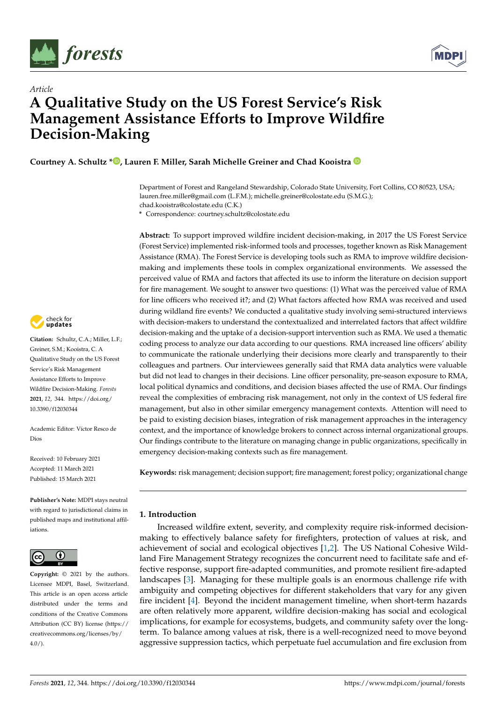



# *Article* **A Qualitative Study on the US Forest Service's Risk Management Assistance Efforts to Improve Wildfire Decision-Making**

**Courtney A. Schultz [\\*](https://orcid.org/0000-0002-9972-7802) , Lauren F. Miller, Sarah Michelle Greiner and Chad Kooistra**

Department of Forest and Rangeland Stewardship, Colorado State University, Fort Collins, CO 80523, USA; lauren.free.miller@gmail.com (L.F.M.); michelle.greiner@colostate.edu (S.M.G.); chad.kooistra@colostate.edu (C.K.)

**\*** Correspondence: courtney.schultz@colostate.edu

**Abstract:** To support improved wildfire incident decision-making, in 2017 the US Forest Service (Forest Service) implemented risk-informed tools and processes, together known as Risk Management Assistance (RMA). The Forest Service is developing tools such as RMA to improve wildfire decisionmaking and implements these tools in complex organizational environments. We assessed the perceived value of RMA and factors that affected its use to inform the literature on decision support for fire management. We sought to answer two questions: (1) What was the perceived value of RMA for line officers who received it?; and (2) What factors affected how RMA was received and used during wildland fire events? We conducted a qualitative study involving semi-structured interviews with decision-makers to understand the contextualized and interrelated factors that affect wildfire decision-making and the uptake of a decision-support intervention such as RMA. We used a thematic coding process to analyze our data according to our questions. RMA increased line officers' ability to communicate the rationale underlying their decisions more clearly and transparently to their colleagues and partners. Our interviewees generally said that RMA data analytics were valuable but did not lead to changes in their decisions. Line officer personality, pre-season exposure to RMA, local political dynamics and conditions, and decision biases affected the use of RMA. Our findings reveal the complexities of embracing risk management, not only in the context of US federal fire management, but also in other similar emergency management contexts. Attention will need to be paid to existing decision biases, integration of risk management approaches in the interagency context, and the importance of knowledge brokers to connect across internal organizational groups. Our findings contribute to the literature on managing change in public organizations, specifically in emergency decision-making contexts such as fire management.

**Keywords:** risk management; decision support; fire management; forest policy; organizational change

# **1. Introduction**

Increased wildfire extent, severity, and complexity require risk-informed decisionmaking to effectively balance safety for firefighters, protection of values at risk, and achievement of social and ecological objectives [\[1,](#page-10-0)[2\]](#page-10-1). The US National Cohesive Wildland Fire Management Strategy recognizes the concurrent need to facilitate safe and effective response, support fire-adapted communities, and promote resilient fire-adapted landscapes [\[3\]](#page-10-2). Managing for these multiple goals is an enormous challenge rife with ambiguity and competing objectives for different stakeholders that vary for any given fire incident [\[4\]](#page-10-3). Beyond the incident management timeline, when short-term hazards are often relatively more apparent, wildfire decision-making has social and ecological implications, for example for ecosystems, budgets, and community safety over the longterm. To balance among values at risk, there is a well-recognized need to move beyond aggressive suppression tactics, which perpetuate fuel accumulation and fire exclusion from



**Citation:** Schultz, C.A.; Miller, L.F.; Greiner, S.M.; Kooistra, C. A Qualitative Study on the US Forest Service's Risk Management Assistance Efforts to Improve Wildfire Decision-Making. *Forests* **2021**, *12*, 344. [https://doi.org/](https://doi.org/10.3390/f12030344) [10.3390/f12030344](https://doi.org/10.3390/f12030344)

Academic Editor: Víctor Resco de Dios

Received: 10 February 2021 Accepted: 11 March 2021 Published: 15 March 2021

**Publisher's Note:** MDPI stays neutral with regard to jurisdictional claims in published maps and institutional affiliations.



**Copyright:** © 2021 by the authors. Licensee MDPI, Basel, Switzerland. This article is an open access article distributed under the terms and conditions of the Creative Commons Attribution (CC BY) license (https:/[/](https://creativecommons.org/licenses/by/4.0/) [creativecommons.org/licenses/by/](https://creativecommons.org/licenses/by/4.0/)  $4.0/$ ).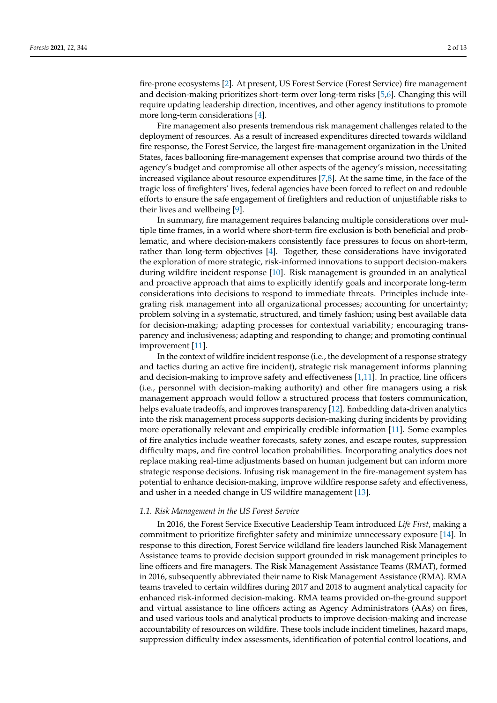fire-prone ecosystems [\[2\]](#page-10-1). At present, US Forest Service (Forest Service) fire management and decision-making prioritizes short-term over long-term risks [\[5](#page-10-4)[,6\]](#page-10-5). Changing this will require updating leadership direction, incentives, and other agency institutions to promote more long-term considerations [\[4\]](#page-10-3).

Fire management also presents tremendous risk management challenges related to the deployment of resources. As a result of increased expenditures directed towards wildland fire response, the Forest Service, the largest fire-management organization in the United States, faces ballooning fire-management expenses that comprise around two thirds of the agency's budget and compromise all other aspects of the agency's mission, necessitating increased vigilance about resource expenditures  $[7,8]$  $[7,8]$ . At the same time, in the face of the tragic loss of firefighters' lives, federal agencies have been forced to reflect on and redouble efforts to ensure the safe engagement of firefighters and reduction of unjustifiable risks to their lives and wellbeing [\[9\]](#page-11-2).

In summary, fire management requires balancing multiple considerations over multiple time frames, in a world where short-term fire exclusion is both beneficial and problematic, and where decision-makers consistently face pressures to focus on short-term, rather than long-term objectives [\[4\]](#page-10-3). Together, these considerations have invigorated the exploration of more strategic, risk-informed innovations to support decision-makers during wildfire incident response [\[10\]](#page-11-3). Risk management is grounded in an analytical and proactive approach that aims to explicitly identify goals and incorporate long-term considerations into decisions to respond to immediate threats. Principles include integrating risk management into all organizational processes; accounting for uncertainty; problem solving in a systematic, structured, and timely fashion; using best available data for decision-making; adapting processes for contextual variability; encouraging transparency and inclusiveness; adapting and responding to change; and promoting continual improvement [\[11\]](#page-11-4).

In the context of wildfire incident response (i.e., the development of a response strategy and tactics during an active fire incident), strategic risk management informs planning and decision-making to improve safety and effectiveness [\[1](#page-10-0)[,11\]](#page-11-4). In practice, line officers (i.e., personnel with decision-making authority) and other fire managers using a risk management approach would follow a structured process that fosters communication, helps evaluate tradeoffs, and improves transparency [\[12\]](#page-11-5). Embedding data-driven analytics into the risk management process supports decision-making during incidents by providing more operationally relevant and empirically credible information [\[11\]](#page-11-4). Some examples of fire analytics include weather forecasts, safety zones, and escape routes, suppression difficulty maps, and fire control location probabilities. Incorporating analytics does not replace making real-time adjustments based on human judgement but can inform more strategic response decisions. Infusing risk management in the fire-management system has potential to enhance decision-making, improve wildfire response safety and effectiveness, and usher in a needed change in US wildfire management [\[13\]](#page-11-6).

# *1.1. Risk Management in the US Forest Service*

In 2016, the Forest Service Executive Leadership Team introduced *Life First*, making a commitment to prioritize firefighter safety and minimize unnecessary exposure [\[14\]](#page-11-7). In response to this direction, Forest Service wildland fire leaders launched Risk Management Assistance teams to provide decision support grounded in risk management principles to line officers and fire managers. The Risk Management Assistance Teams (RMAT), formed in 2016, subsequently abbreviated their name to Risk Management Assistance (RMA). RMA teams traveled to certain wildfires during 2017 and 2018 to augment analytical capacity for enhanced risk-informed decision-making. RMA teams provided on-the-ground support and virtual assistance to line officers acting as Agency Administrators (AAs) on fires, and used various tools and analytical products to improve decision-making and increase accountability of resources on wildfire. These tools include incident timelines, hazard maps, suppression difficulty index assessments, identification of potential control locations, and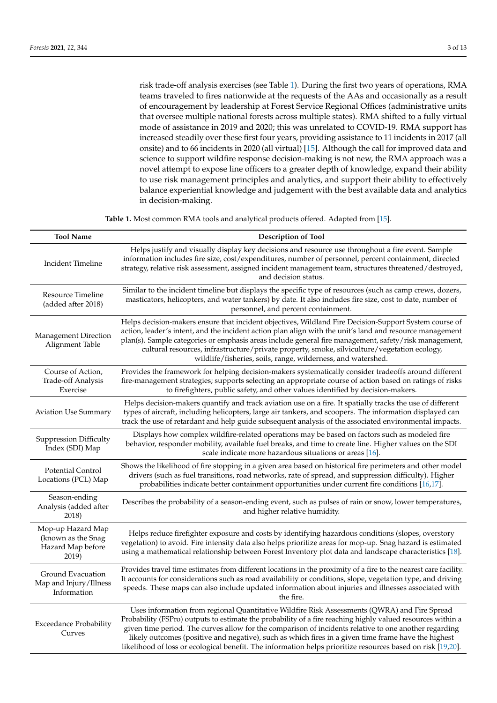risk trade-off analysis exercises (see Table [1\)](#page-2-0). During the first two years of operations, RMA teams traveled to fires nationwide at the requests of the AAs and occasionally as a result of encouragement by leadership at Forest Service Regional Offices (administrative units that oversee multiple national forests across multiple states). RMA shifted to a fully virtual mode of assistance in 2019 and 2020; this was unrelated to COVID-19. RMA support has increased steadily over these first four years, providing assistance to 11 incidents in 2017 (all onsite) and to 66 incidents in 2020 (all virtual) [\[15\]](#page-11-8). Although the call for improved data and science to support wildfire response decision-making is not new, the RMA approach was a novel attempt to expose line officers to a greater depth of knowledge, expand their ability to use risk management principles and analytics, and support their ability to effectively balance experiential knowledge and judgement with the best available data and analytics in decision-making.

**Table 1.** Most common RMA tools and analytical products offered. Adapted from [\[15\]](#page-11-8).

<span id="page-2-0"></span>

| <b>Tool Name</b>                                                      | <b>Description of Tool</b>                                                                                                                                                                                                                                                                                                                                                                                                                                                                                                                 |
|-----------------------------------------------------------------------|--------------------------------------------------------------------------------------------------------------------------------------------------------------------------------------------------------------------------------------------------------------------------------------------------------------------------------------------------------------------------------------------------------------------------------------------------------------------------------------------------------------------------------------------|
| <b>Incident Timeline</b>                                              | Helps justify and visually display key decisions and resource use throughout a fire event. Sample<br>information includes fire size, cost/expenditures, number of personnel, percent containment, directed<br>strategy, relative risk assessment, assigned incident management team, structures threatened/destroyed,<br>and decision status.                                                                                                                                                                                              |
| Resource Timeline<br>(added after 2018)                               | Similar to the incident timeline but displays the specific type of resources (such as camp crews, dozers,<br>masticators, helicopters, and water tankers) by date. It also includes fire size, cost to date, number of<br>personnel, and percent containment.                                                                                                                                                                                                                                                                              |
| Management Direction<br>Alignment Table                               | Helps decision-makers ensure that incident objectives, Wildland Fire Decision-Support System course of<br>action, leader's intent, and the incident action plan align with the unit's land and resource management<br>plan(s). Sample categories or emphasis areas include general fire management, safety/risk management,<br>cultural resources, infrastructure/private property, smoke, silviculture/vegetation ecology,<br>wildlife/fisheries, soils, range, wilderness, and watershed.                                                |
| Course of Action,<br>Trade-off Analysis<br>Exercise                   | Provides the framework for helping decision-makers systematically consider tradeoffs around different<br>fire-management strategies; supports selecting an appropriate course of action based on ratings of risks<br>to firefighters, public safety, and other values identified by decision-makers.                                                                                                                                                                                                                                       |
| <b>Aviation Use Summary</b>                                           | Helps decision-makers quantify and track aviation use on a fire. It spatially tracks the use of different<br>types of aircraft, including helicopters, large air tankers, and scoopers. The information displayed can<br>track the use of retardant and help guide subsequent analysis of the associated environmental impacts.                                                                                                                                                                                                            |
| <b>Suppression Difficulty</b><br>Index (SDI) Map                      | Displays how complex wildfire-related operations may be based on factors such as modeled fire<br>behavior, responder mobility, available fuel breaks, and time to create line. Higher values on the SDI<br>scale indicate more hazardous situations or areas $[16]$ .                                                                                                                                                                                                                                                                      |
| <b>Potential Control</b><br>Locations (PCL) Map                       | Shows the likelihood of fire stopping in a given area based on historical fire perimeters and other model<br>drivers (such as fuel transitions, road networks, rate of spread, and suppression difficulty). Higher<br>probabilities indicate better containment opportunities under current fire conditions [16,17].                                                                                                                                                                                                                       |
| Season-ending<br>Analysis (added after<br>2018)                       | Describes the probability of a season-ending event, such as pulses of rain or snow, lower temperatures,<br>and higher relative humidity.                                                                                                                                                                                                                                                                                                                                                                                                   |
| Mop-up Hazard Map<br>(known as the Snag<br>Hazard Map before<br>2019) | Helps reduce firefighter exposure and costs by identifying hazardous conditions (slopes, overstory<br>vegetation) to avoid. Fire intensity data also helps prioritize areas for mop-up. Snag hazard is estimated<br>using a mathematical relationship between Forest Inventory plot data and landscape characteristics [18].                                                                                                                                                                                                               |
| Ground Evacuation<br>Map and Injury/Illness<br>Information            | Provides travel time estimates from different locations in the proximity of a fire to the nearest care facility.<br>It accounts for considerations such as road availability or conditions, slope, vegetation type, and driving<br>speeds. These maps can also include updated information about injuries and illnesses associated with<br>the fire.                                                                                                                                                                                       |
| <b>Exceedance Probability</b><br>Curves                               | Uses information from regional Quantitative Wildfire Risk Assessments (QWRA) and Fire Spread<br>Probability (FSPro) outputs to estimate the probability of a fire reaching highly valued resources within a<br>given time period. The curves allow for the comparison of incidents relative to one another regarding<br>likely outcomes (positive and negative), such as which fires in a given time frame have the highest<br>likelihood of loss or ecological benefit. The information helps prioritize resources based on risk [19,20]. |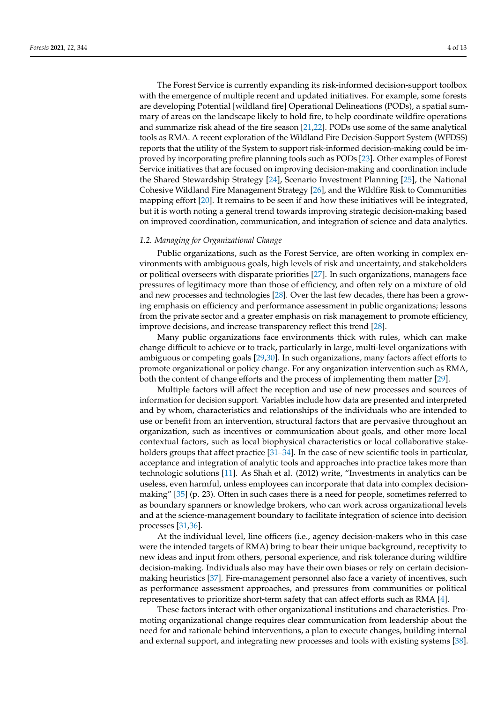The Forest Service is currently expanding its risk-informed decision-support toolbox with the emergence of multiple recent and updated initiatives. For example, some forests are developing Potential [wildland fire] Operational Delineations (PODs), a spatial summary of areas on the landscape likely to hold fire, to help coordinate wildfire operations and summarize risk ahead of the fire season [\[21,](#page-11-14)[22\]](#page-11-15). PODs use some of the same analytical tools as RMA. A recent exploration of the Wildland Fire Decision-Support System (WFDSS) reports that the utility of the System to support risk-informed decision-making could be improved by incorporating prefire planning tools such as PODs [\[23\]](#page-11-16). Other examples of Forest Service initiatives that are focused on improving decision-making and coordination include the Shared Stewardship Strategy [\[24\]](#page-11-17), Scenario Investment Planning [\[25\]](#page-11-18), the National Cohesive Wildland Fire Management Strategy [\[26\]](#page-11-19), and the Wildfire Risk to Communities mapping effort [\[20\]](#page-11-13). It remains to be seen if and how these initiatives will be integrated, but it is worth noting a general trend towards improving strategic decision-making based on improved coordination, communication, and integration of science and data analytics.

## *1.2. Managing for Organizational Change*

Public organizations, such as the Forest Service, are often working in complex environments with ambiguous goals, high levels of risk and uncertainty, and stakeholders or political overseers with disparate priorities [\[27\]](#page-11-20). In such organizations, managers face pressures of legitimacy more than those of efficiency, and often rely on a mixture of old and new processes and technologies [\[28\]](#page-11-21). Over the last few decades, there has been a growing emphasis on efficiency and performance assessment in public organizations; lessons from the private sector and a greater emphasis on risk management to promote efficiency, improve decisions, and increase transparency reflect this trend [\[28\]](#page-11-21).

Many public organizations face environments thick with rules, which can make change difficult to achieve or to track, particularly in large, multi-level organizations with ambiguous or competing goals [\[29](#page-11-22)[,30\]](#page-11-23). In such organizations, many factors affect efforts to promote organizational or policy change. For any organization intervention such as RMA, both the content of change efforts and the process of implementing them matter [\[29\]](#page-11-22).

Multiple factors will affect the reception and use of new processes and sources of information for decision support. Variables include how data are presented and interpreted and by whom, characteristics and relationships of the individuals who are intended to use or benefit from an intervention, structural factors that are pervasive throughout an organization, such as incentives or communication about goals, and other more local contextual factors, such as local biophysical characteristics or local collaborative stake-holders groups that affect practice [\[31](#page-11-24)[–34\]](#page-12-0). In the case of new scientific tools in particular, acceptance and integration of analytic tools and approaches into practice takes more than technologic solutions [\[11\]](#page-11-4). As Shah et al. (2012) write, "Investments in analytics can be useless, even harmful, unless employees can incorporate that data into complex decisionmaking" [\[35\]](#page-12-1) (p. 23). Often in such cases there is a need for people, sometimes referred to as boundary spanners or knowledge brokers, who can work across organizational levels and at the science-management boundary to facilitate integration of science into decision processes [\[31,](#page-11-24)[36\]](#page-12-2).

At the individual level, line officers (i.e., agency decision-makers who in this case were the intended targets of RMA) bring to bear their unique background, receptivity to new ideas and input from others, personal experience, and risk tolerance during wildfire decision-making. Individuals also may have their own biases or rely on certain decisionmaking heuristics [\[37\]](#page-12-3). Fire-management personnel also face a variety of incentives, such as performance assessment approaches, and pressures from communities or political representatives to prioritize short-term safety that can affect efforts such as RMA [\[4\]](#page-10-3).

These factors interact with other organizational institutions and characteristics. Promoting organizational change requires clear communication from leadership about the need for and rationale behind interventions, a plan to execute changes, building internal and external support, and integrating new processes and tools with existing systems [\[38\]](#page-12-4).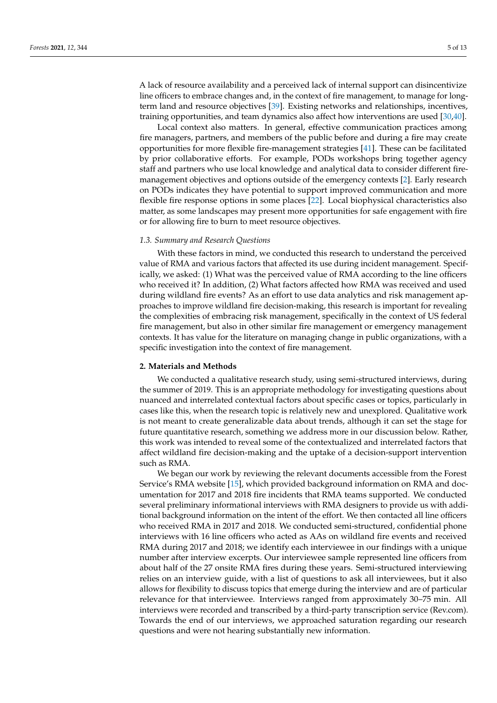A lack of resource availability and a perceived lack of internal support can disincentivize line officers to embrace changes and, in the context of fire management, to manage for longterm land and resource objectives [\[39\]](#page-12-5). Existing networks and relationships, incentives, training opportunities, and team dynamics also affect how interventions are used [\[30](#page-11-23)[,40\]](#page-12-6).

Local context also matters. In general, effective communication practices among fire managers, partners, and members of the public before and during a fire may create opportunities for more flexible fire-management strategies [\[41\]](#page-12-7). These can be facilitated by prior collaborative efforts. For example, PODs workshops bring together agency staff and partners who use local knowledge and analytical data to consider different firemanagement objectives and options outside of the emergency contexts [\[2\]](#page-10-1). Early research on PODs indicates they have potential to support improved communication and more flexible fire response options in some places [\[22\]](#page-11-15). Local biophysical characteristics also matter, as some landscapes may present more opportunities for safe engagement with fire or for allowing fire to burn to meet resource objectives.

## *1.3. Summary and Research Questions*

With these factors in mind, we conducted this research to understand the perceived value of RMA and various factors that affected its use during incident management. Specifically, we asked: (1) What was the perceived value of RMA according to the line officers who received it? In addition, (2) What factors affected how RMA was received and used during wildland fire events? As an effort to use data analytics and risk management approaches to improve wildland fire decision-making, this research is important for revealing the complexities of embracing risk management, specifically in the context of US federal fire management, but also in other similar fire management or emergency management contexts. It has value for the literature on managing change in public organizations, with a specific investigation into the context of fire management.

## **2. Materials and Methods**

We conducted a qualitative research study, using semi-structured interviews, during the summer of 2019. This is an appropriate methodology for investigating questions about nuanced and interrelated contextual factors about specific cases or topics, particularly in cases like this, when the research topic is relatively new and unexplored. Qualitative work is not meant to create generalizable data about trends, although it can set the stage for future quantitative research, something we address more in our discussion below. Rather, this work was intended to reveal some of the contextualized and interrelated factors that affect wildland fire decision-making and the uptake of a decision-support intervention such as RMA.

We began our work by reviewing the relevant documents accessible from the Forest Service's RMA website [\[15\]](#page-11-8), which provided background information on RMA and documentation for 2017 and 2018 fire incidents that RMA teams supported. We conducted several preliminary informational interviews with RMA designers to provide us with additional background information on the intent of the effort. We then contacted all line officers who received RMA in 2017 and 2018. We conducted semi-structured, confidential phone interviews with 16 line officers who acted as AAs on wildland fire events and received RMA during 2017 and 2018; we identify each interviewee in our findings with a unique number after interview excerpts. Our interviewee sample represented line officers from about half of the 27 onsite RMA fires during these years. Semi-structured interviewing relies on an interview guide, with a list of questions to ask all interviewees, but it also allows for flexibility to discuss topics that emerge during the interview and are of particular relevance for that interviewee. Interviews ranged from approximately 30–75 min. All interviews were recorded and transcribed by a third-party transcription service (Rev.com). Towards the end of our interviews, we approached saturation regarding our research questions and were not hearing substantially new information.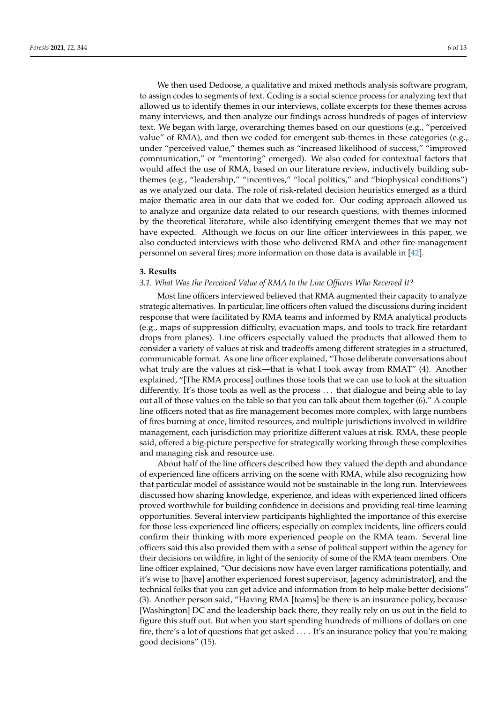We then used Dedoose, a qualitative and mixed methods analysis software program, to assign codes to segments of text. Coding is a social science process for analyzing text that allowed us to identify themes in our interviews, collate excerpts for these themes across many interviews, and then analyze our findings across hundreds of pages of interview text. We began with large, overarching themes based on our questions (e.g., "perceived value" of RMA), and then we coded for emergent sub-themes in these categories (e.g., under "perceived value," themes such as "increased likelihood of success," "improved communication," or "mentoring" emerged). We also coded for contextual factors that would affect the use of RMA, based on our literature review, inductively building subthemes (e.g., "leadership," "incentives," "local politics," and "biophysical conditions") as we analyzed our data. The role of risk-related decision heuristics emerged as a third major thematic area in our data that we coded for. Our coding approach allowed us to analyze and organize data related to our research questions, with themes informed by the theoretical literature, while also identifying emergent themes that we may not have expected. Although we focus on our line officer interviewees in this paper, we also conducted interviews with those who delivered RMA and other fire-management personnel on several fires; more information on those data is available in [\[42\]](#page-12-8).

## **3. Results**

## *3.1. What Was the Perceived Value of RMA to the Line Officers Who Received It?*

Most line officers interviewed believed that RMA augmented their capacity to analyze strategic alternatives. In particular, line officers often valued the discussions during incident response that were facilitated by RMA teams and informed by RMA analytical products (e.g., maps of suppression difficulty, evacuation maps, and tools to track fire retardant drops from planes). Line officers especially valued the products that allowed them to consider a variety of values at risk and tradeoffs among different strategies in a structured, communicable format. As one line officer explained, "Those deliberate conversations about what truly are the values at risk—that is what I took away from RMAT" (4). Another explained, "[The RMA process] outlines those tools that we can use to look at the situation differently. It's those tools as well as the process . . . that dialogue and being able to lay out all of those values on the table so that you can talk about them together (6)." A couple line officers noted that as fire management becomes more complex, with large numbers of fires burning at once, limited resources, and multiple jurisdictions involved in wildfire management, each jurisdiction may prioritize different values at risk. RMA, these people said, offered a big-picture perspective for strategically working through these complexities and managing risk and resource use.

About half of the line officers described how they valued the depth and abundance of experienced line officers arriving on the scene with RMA, while also recognizing how that particular model of assistance would not be sustainable in the long run. Interviewees discussed how sharing knowledge, experience, and ideas with experienced lined officers proved worthwhile for building confidence in decisions and providing real-time learning opportunities. Several interview participants highlighted the importance of this exercise for those less-experienced line officers; especially on complex incidents, line officers could confirm their thinking with more experienced people on the RMA team. Several line officers said this also provided them with a sense of political support within the agency for their decisions on wildfire, in light of the seniority of some of the RMA team members. One line officer explained, "Our decisions now have even larger ramifications potentially, and it's wise to [have] another experienced forest supervisor, [agency administrator], and the technical folks that you can get advice and information from to help make better decisions" (3). Another person said, "Having RMA [teams] be there is an insurance policy, because [Washington] DC and the leadership back there, they really rely on us out in the field to figure this stuff out. But when you start spending hundreds of millions of dollars on one fire, there's a lot of questions that get asked . . . . It's an insurance policy that you're making good decisions" (15).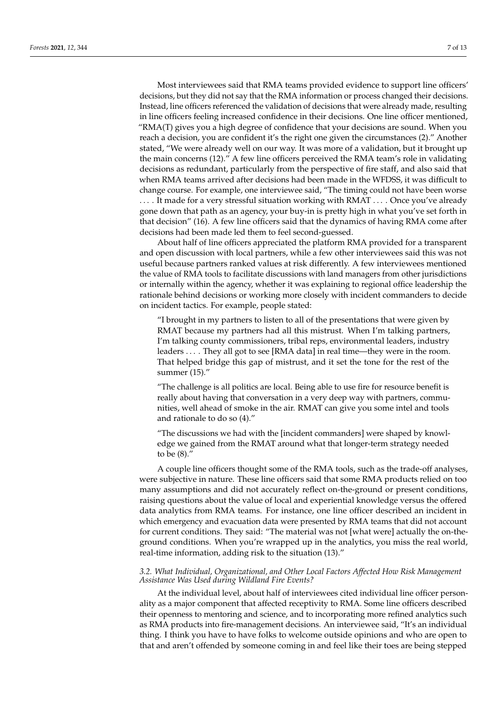Most interviewees said that RMA teams provided evidence to support line officers' decisions, but they did not say that the RMA information or process changed their decisions. Instead, line officers referenced the validation of decisions that were already made, resulting in line officers feeling increased confidence in their decisions. One line officer mentioned, "RMA(T) gives you a high degree of confidence that your decisions are sound. When you reach a decision, you are confident it's the right one given the circumstances (2)." Another stated, "We were already well on our way. It was more of a validation, but it brought up the main concerns (12)." A few line officers perceived the RMA team's role in validating decisions as redundant, particularly from the perspective of fire staff, and also said that when RMA teams arrived after decisions had been made in the WFDSS, it was difficult to change course. For example, one interviewee said, "The timing could not have been worse . . . . It made for a very stressful situation working with RMAT . . . . Once you've already gone down that path as an agency, your buy-in is pretty high in what you've set forth in that decision" (16). A few line officers said that the dynamics of having RMA come after decisions had been made led them to feel second-guessed.

About half of line officers appreciated the platform RMA provided for a transparent and open discussion with local partners, while a few other interviewees said this was not useful because partners ranked values at risk differently. A few interviewees mentioned the value of RMA tools to facilitate discussions with land managers from other jurisdictions or internally within the agency, whether it was explaining to regional office leadership the rationale behind decisions or working more closely with incident commanders to decide on incident tactics. For example, people stated:

"I brought in my partners to listen to all of the presentations that were given by RMAT because my partners had all this mistrust. When I'm talking partners, I'm talking county commissioners, tribal reps, environmental leaders, industry leaders . . . . They all got to see [RMA data] in real time—they were in the room. That helped bridge this gap of mistrust, and it set the tone for the rest of the summer (15)."

"The challenge is all politics are local. Being able to use fire for resource benefit is really about having that conversation in a very deep way with partners, communities, well ahead of smoke in the air. RMAT can give you some intel and tools and rationale to do so (4)."

"The discussions we had with the [incident commanders] were shaped by knowledge we gained from the RMAT around what that longer-term strategy needed to be (8)."

A couple line officers thought some of the RMA tools, such as the trade-off analyses, were subjective in nature. These line officers said that some RMA products relied on too many assumptions and did not accurately reflect on-the-ground or present conditions, raising questions about the value of local and experiential knowledge versus the offered data analytics from RMA teams. For instance, one line officer described an incident in which emergency and evacuation data were presented by RMA teams that did not account for current conditions. They said: "The material was not [what were] actually the on-theground conditions. When you're wrapped up in the analytics, you miss the real world, real-time information, adding risk to the situation (13)."

# *3.2. What Individual, Organizational, and Other Local Factors Affected How Risk Management Assistance Was Used during Wildland Fire Events?*

At the individual level, about half of interviewees cited individual line officer personality as a major component that affected receptivity to RMA. Some line officers described their openness to mentoring and science, and to incorporating more refined analytics such as RMA products into fire-management decisions. An interviewee said, "It's an individual thing. I think you have to have folks to welcome outside opinions and who are open to that and aren't offended by someone coming in and feel like their toes are being stepped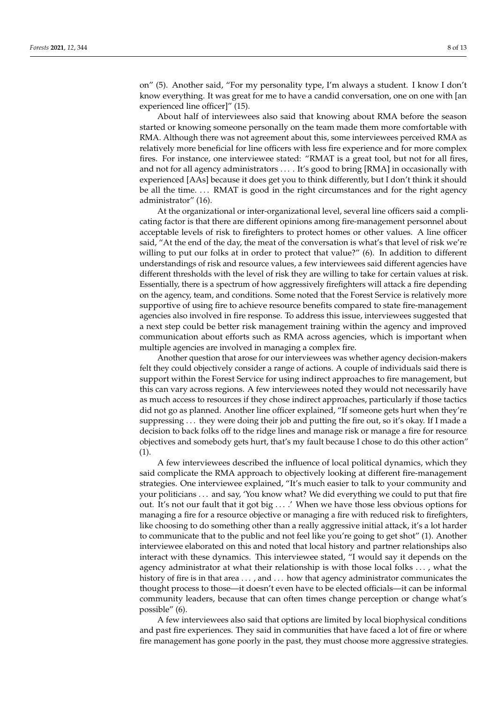on" (5). Another said, "For my personality type, I'm always a student. I know I don't know everything. It was great for me to have a candid conversation, one on one with [an experienced line officer]" (15).

About half of interviewees also said that knowing about RMA before the season started or knowing someone personally on the team made them more comfortable with RMA. Although there was not agreement about this, some interviewees perceived RMA as relatively more beneficial for line officers with less fire experience and for more complex fires. For instance, one interviewee stated: "RMAT is a great tool, but not for all fires, and not for all agency administrators . . . . It's good to bring [RMA] in occasionally with experienced [AAs] because it does get you to think differently, but I don't think it should be all the time. . . . RMAT is good in the right circumstances and for the right agency administrator" (16).

At the organizational or inter-organizational level, several line officers said a complicating factor is that there are different opinions among fire-management personnel about acceptable levels of risk to firefighters to protect homes or other values. A line officer said, "At the end of the day, the meat of the conversation is what's that level of risk we're willing to put our folks at in order to protect that value?" (6). In addition to different understandings of risk and resource values, a few interviewees said different agencies have different thresholds with the level of risk they are willing to take for certain values at risk. Essentially, there is a spectrum of how aggressively firefighters will attack a fire depending on the agency, team, and conditions. Some noted that the Forest Service is relatively more supportive of using fire to achieve resource benefits compared to state fire-management agencies also involved in fire response. To address this issue, interviewees suggested that a next step could be better risk management training within the agency and improved communication about efforts such as RMA across agencies, which is important when multiple agencies are involved in managing a complex fire.

Another question that arose for our interviewees was whether agency decision-makers felt they could objectively consider a range of actions. A couple of individuals said there is support within the Forest Service for using indirect approaches to fire management, but this can vary across regions. A few interviewees noted they would not necessarily have as much access to resources if they chose indirect approaches, particularly if those tactics did not go as planned. Another line officer explained, "If someone gets hurt when they're suppressing . . . they were doing their job and putting the fire out, so it's okay. If I made a decision to back folks off to the ridge lines and manage risk or manage a fire for resource objectives and somebody gets hurt, that's my fault because I chose to do this other action" (1).

A few interviewees described the influence of local political dynamics, which they said complicate the RMA approach to objectively looking at different fire-management strategies. One interviewee explained, "It's much easier to talk to your community and your politicians . . . and say, 'You know what? We did everything we could to put that fire out. It's not our fault that it got big . . . .' When we have those less obvious options for managing a fire for a resource objective or managing a fire with reduced risk to firefighters, like choosing to do something other than a really aggressive initial attack, it's a lot harder to communicate that to the public and not feel like you're going to get shot" (1). Another interviewee elaborated on this and noted that local history and partner relationships also interact with these dynamics. This interviewee stated, "I would say it depends on the agency administrator at what their relationship is with those local folks . . . , what the history of fire is in that area ..., and ... how that agency administrator communicates the thought process to those—it doesn't even have to be elected officials—it can be informal community leaders, because that can often times change perception or change what's possible" (6).

A few interviewees also said that options are limited by local biophysical conditions and past fire experiences. They said in communities that have faced a lot of fire or where fire management has gone poorly in the past, they must choose more aggressive strategies.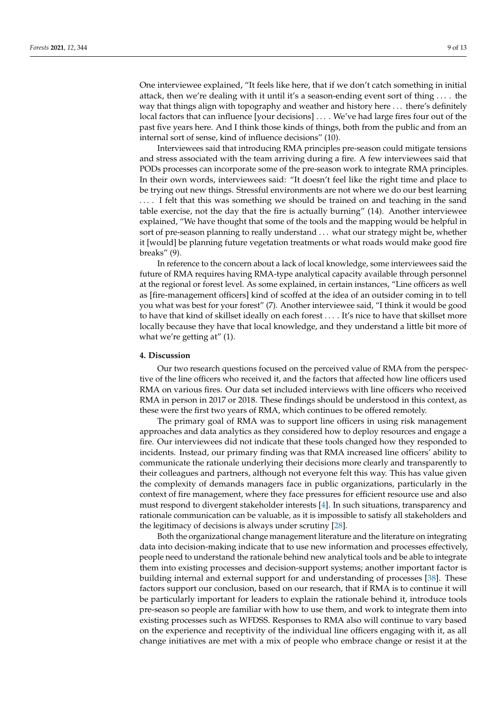One interviewee explained, "It feels like here, that if we don't catch something in initial attack, then we're dealing with it until it's a season-ending event sort of thing . . . . the way that things align with topography and weather and history here . . . there's definitely local factors that can influence [your decisions] ... . We've had large fires four out of the past five years here. And I think those kinds of things, both from the public and from an internal sort of sense, kind of influence decisions" (10).

Interviewees said that introducing RMA principles pre-season could mitigate tensions and stress associated with the team arriving during a fire. A few interviewees said that PODs processes can incorporate some of the pre-season work to integrate RMA principles. In their own words, interviewees said: "It doesn't feel like the right time and place to be trying out new things. Stressful environments are not where we do our best learning . . . . I felt that this was something we should be trained on and teaching in the sand table exercise, not the day that the fire is actually burning" (14). Another interviewee explained, "We have thought that some of the tools and the mapping would be helpful in sort of pre-season planning to really understand . . . what our strategy might be, whether it [would] be planning future vegetation treatments or what roads would make good fire breaks" (9).

In reference to the concern about a lack of local knowledge, some interviewees said the future of RMA requires having RMA-type analytical capacity available through personnel at the regional or forest level. As some explained, in certain instances, "Line officers as well as [fire-management officers] kind of scoffed at the idea of an outsider coming in to tell you what was best for your forest" (7). Another interviewee said, "I think it would be good to have that kind of skillset ideally on each forest . . . . It's nice to have that skillset more locally because they have that local knowledge, and they understand a little bit more of what we're getting at" (1).

## **4. Discussion**

Our two research questions focused on the perceived value of RMA from the perspective of the line officers who received it, and the factors that affected how line officers used RMA on various fires. Our data set included interviews with line officers who received RMA in person in 2017 or 2018. These findings should be understood in this context, as these were the first two years of RMA, which continues to be offered remotely.

The primary goal of RMA was to support line officers in using risk management approaches and data analytics as they considered how to deploy resources and engage a fire. Our interviewees did not indicate that these tools changed how they responded to incidents. Instead, our primary finding was that RMA increased line officers' ability to communicate the rationale underlying their decisions more clearly and transparently to their colleagues and partners, although not everyone felt this way. This has value given the complexity of demands managers face in public organizations, particularly in the context of fire management, where they face pressures for efficient resource use and also must respond to divergent stakeholder interests [\[4\]](#page-10-3). In such situations, transparency and rationale communication can be valuable, as it is impossible to satisfy all stakeholders and the legitimacy of decisions is always under scrutiny [\[28\]](#page-11-21).

Both the organizational change management literature and the literature on integrating data into decision-making indicate that to use new information and processes effectively, people need to understand the rationale behind new analytical tools and be able to integrate them into existing processes and decision-support systems; another important factor is building internal and external support for and understanding of processes [\[38\]](#page-12-4). These factors support our conclusion, based on our research, that if RMA is to continue it will be particularly important for leaders to explain the rationale behind it, introduce tools pre-season so people are familiar with how to use them, and work to integrate them into existing processes such as WFDSS. Responses to RMA also will continue to vary based on the experience and receptivity of the individual line officers engaging with it, as all change initiatives are met with a mix of people who embrace change or resist it at the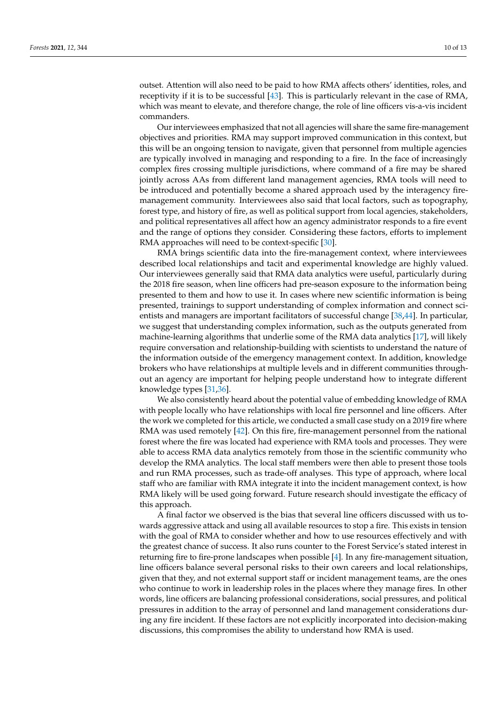outset. Attention will also need to be paid to how RMA affects others' identities, roles, and receptivity if it is to be successful [\[43\]](#page-12-9). This is particularly relevant in the case of RMA, which was meant to elevate, and therefore change, the role of line officers vis-a-vis incident commanders.

Our interviewees emphasized that not all agencies will share the same fire-management objectives and priorities. RMA may support improved communication in this context, but this will be an ongoing tension to navigate, given that personnel from multiple agencies are typically involved in managing and responding to a fire. In the face of increasingly complex fires crossing multiple jurisdictions, where command of a fire may be shared jointly across AAs from different land management agencies, RMA tools will need to be introduced and potentially become a shared approach used by the interagency firemanagement community. Interviewees also said that local factors, such as topography, forest type, and history of fire, as well as political support from local agencies, stakeholders, and political representatives all affect how an agency administrator responds to a fire event and the range of options they consider. Considering these factors, efforts to implement RMA approaches will need to be context-specific [\[30\]](#page-11-23).

RMA brings scientific data into the fire-management context, where interviewees described local relationships and tacit and experimental knowledge are highly valued. Our interviewees generally said that RMA data analytics were useful, particularly during the 2018 fire season, when line officers had pre-season exposure to the information being presented to them and how to use it. In cases where new scientific information is being presented, trainings to support understanding of complex information and connect scientists and managers are important facilitators of successful change [\[38,](#page-12-4)[44\]](#page-12-10). In particular, we suggest that understanding complex information, such as the outputs generated from machine-learning algorithms that underlie some of the RMA data analytics [\[17\]](#page-11-10), will likely require conversation and relationship-building with scientists to understand the nature of the information outside of the emergency management context. In addition, knowledge brokers who have relationships at multiple levels and in different communities throughout an agency are important for helping people understand how to integrate different knowledge types [\[31](#page-11-24)[,36\]](#page-12-2).

We also consistently heard about the potential value of embedding knowledge of RMA with people locally who have relationships with local fire personnel and line officers. After the work we completed for this article, we conducted a small case study on a 2019 fire where RMA was used remotely [\[42\]](#page-12-8). On this fire, fire-management personnel from the national forest where the fire was located had experience with RMA tools and processes. They were able to access RMA data analytics remotely from those in the scientific community who develop the RMA analytics. The local staff members were then able to present those tools and run RMA processes, such as trade-off analyses. This type of approach, where local staff who are familiar with RMA integrate it into the incident management context, is how RMA likely will be used going forward. Future research should investigate the efficacy of this approach.

A final factor we observed is the bias that several line officers discussed with us towards aggressive attack and using all available resources to stop a fire. This exists in tension with the goal of RMA to consider whether and how to use resources effectively and with the greatest chance of success. It also runs counter to the Forest Service's stated interest in returning fire to fire-prone landscapes when possible [\[4\]](#page-10-3). In any fire-management situation, line officers balance several personal risks to their own careers and local relationships, given that they, and not external support staff or incident management teams, are the ones who continue to work in leadership roles in the places where they manage fires. In other words, line officers are balancing professional considerations, social pressures, and political pressures in addition to the array of personnel and land management considerations during any fire incident. If these factors are not explicitly incorporated into decision-making discussions, this compromises the ability to understand how RMA is used.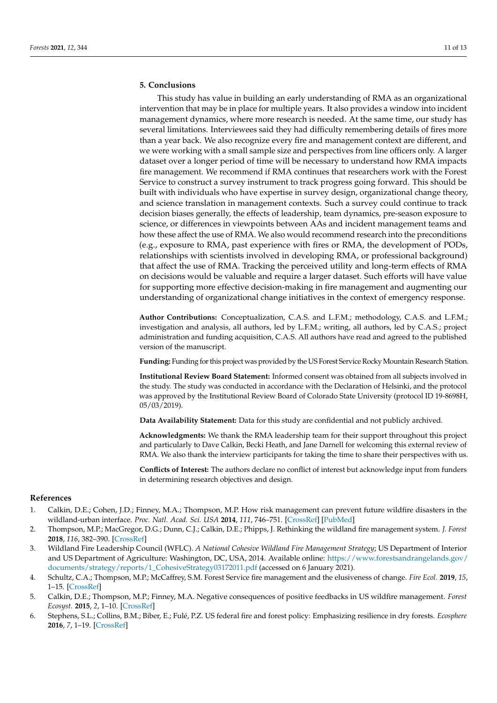# **5. Conclusions**

This study has value in building an early understanding of RMA as an organizational intervention that may be in place for multiple years. It also provides a window into incident management dynamics, where more research is needed. At the same time, our study has several limitations. Interviewees said they had difficulty remembering details of fires more than a year back. We also recognize every fire and management context are different, and we were working with a small sample size and perspectives from line officers only. A larger dataset over a longer period of time will be necessary to understand how RMA impacts fire management. We recommend if RMA continues that researchers work with the Forest Service to construct a survey instrument to track progress going forward. This should be built with individuals who have expertise in survey design, organizational change theory, and science translation in management contexts. Such a survey could continue to track decision biases generally, the effects of leadership, team dynamics, pre-season exposure to science, or differences in viewpoints between AAs and incident management teams and how these affect the use of RMA. We also would recommend research into the preconditions (e.g., exposure to RMA, past experience with fires or RMA, the development of PODs, relationships with scientists involved in developing RMA, or professional background) that affect the use of RMA. Tracking the perceived utility and long-term effects of RMA on decisions would be valuable and require a larger dataset. Such efforts will have value for supporting more effective decision-making in fire management and augmenting our understanding of organizational change initiatives in the context of emergency response.

**Author Contributions:** Conceptualization, C.A.S. and L.F.M.; methodology, C.A.S. and L.F.M.; investigation and analysis, all authors, led by L.F.M.; writing, all authors, led by C.A.S.; project administration and funding acquisition, C.A.S. All authors have read and agreed to the published version of the manuscript.

Funding: Funding for this project was provided by the US Forest Service Rocky Mountain Research Station.

**Institutional Review Board Statement:** Informed consent was obtained from all subjects involved in the study. The study was conducted in accordance with the Declaration of Helsinki, and the protocol was approved by the Institutional Review Board of Colorado State University (protocol ID 19-8698H, 05/03/2019).

**Data Availability Statement:** Data for this study are confidential and not publicly archived.

**Acknowledgments:** We thank the RMA leadership team for their support throughout this project and particularly to Dave Calkin, Becki Heath, and Jane Darnell for welcoming this external review of RMA. We also thank the interview participants for taking the time to share their perspectives with us.

**Conflicts of Interest:** The authors declare no conflict of interest but acknowledge input from funders in determining research objectives and design.

## **References**

- <span id="page-10-0"></span>1. Calkin, D.E.; Cohen, J.D.; Finney, M.A.; Thompson, M.P. How risk management can prevent future wildfire disasters in the wildland-urban interface. *Proc. Natl. Acad. Sci. USA* **2014**, *111*, 746–751. [\[CrossRef\]](http://doi.org/10.1073/pnas.1315088111) [\[PubMed\]](http://www.ncbi.nlm.nih.gov/pubmed/24344292)
- <span id="page-10-1"></span>2. Thompson, M.P.; MacGregor, D.G.; Dunn, C.J.; Calkin, D.E.; Phipps, J. Rethinking the wildland fire management system. *J. Forest* **2018**, *116*, 382–390. [\[CrossRef\]](http://doi.org/10.1093/jofore/fvy020)
- <span id="page-10-2"></span>3. Wildland Fire Leadership Council (WFLC). *A National Cohesive Wildland Fire Management Strategy*; US Department of Interior and US Department of Agriculture: Washington, DC, USA, 2014. Available online: [https://www.forestsandrangelands.gov/](https://www.forestsandrangelands.gov/documents/strategy/reports/1_CohesiveStrategy03172011.pdf) [documents/strategy/reports/1\\_CohesiveStrategy03172011.pdf](https://www.forestsandrangelands.gov/documents/strategy/reports/1_CohesiveStrategy03172011.pdf) (accessed on 6 January 2021).
- <span id="page-10-3"></span>4. Schultz, C.A.; Thompson, M.P.; McCaffrey, S.M. Forest Service fire management and the elusiveness of change. *Fire Ecol.* **2019**, *15*, 1–15. [\[CrossRef\]](http://doi.org/10.1186/s42408-019-0028-x)
- <span id="page-10-4"></span>5. Calkin, D.E.; Thompson, M.P.; Finney, M.A. Negative consequences of positive feedbacks in US wildfire management. *Forest Ecosyst.* **2015**, *2*, 1–10. [\[CrossRef\]](http://doi.org/10.1186/s40663-015-0033-8)
- <span id="page-10-5"></span>6. Stephens, S.L.; Collins, B.M.; Biber, E.; Fulé, P.Z. US federal fire and forest policy: Emphasizing resilience in dry forests. *Ecosphere* **2016**, *7*, 1–19. [\[CrossRef\]](http://doi.org/10.1002/ecs2.1584)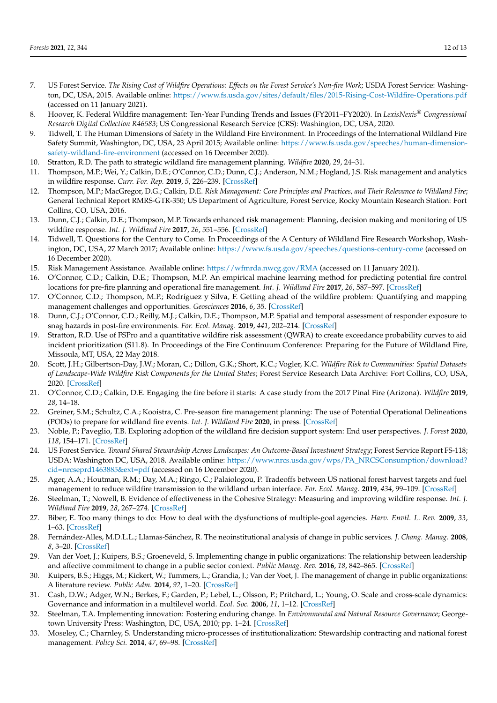- <span id="page-11-0"></span>7. US Forest Service. *The Rising Cost of Wildfire Operations: Effects on the Forest Service's Non-fire Work*; USDA Forest Service: Washington, DC, USA, 2015. Available online: <https://www.fs.usda.gov/sites/default/files/2015-Rising-Cost-Wildfire-Operations.pdf> (accessed on 11 January 2021).
- <span id="page-11-1"></span>8. Hoover, K. Federal Wildfire management: Ten-Year Funding Trends and Issues (FY2011–FY2020). In *LexisNexis® Congressional Research Digital Collection R46583*; US Congressional Research Service (CRS): Washington, DC, USA, 2020.
- <span id="page-11-2"></span>9. Tidwell, T. The Human Dimensions of Safety in the Wildland Fire Environment. In Proceedings of the International Wildland Fire Safety Summit, Washington, DC, USA, 23 April 2015; Available online: [https://www.fs.usda.gov/speeches/human-dimension](https://www.fs.usda.gov/speeches/human-dimension-safety-wildland-fire-environment)[safety-wildland-fire-environment](https://www.fs.usda.gov/speeches/human-dimension-safety-wildland-fire-environment) (accessed on 16 December 2020).
- <span id="page-11-3"></span>10. Stratton, R.D. The path to strategic wildland fire management planning. *Wildfire* **2020**, *29*, 24–31.
- <span id="page-11-4"></span>11. Thompson, M.P.; Wei, Y.; Calkin, D.E.; O'Connor, C.D.; Dunn, C.J.; Anderson, N.M.; Hogland, J.S. Risk management and analytics in wildfire response. *Curr. For. Rep.* **2019**, *5*, 226–239. [\[CrossRef\]](http://doi.org/10.1007/s40725-019-00101-7)
- <span id="page-11-5"></span>12. Thompson, M.P.; MacGregor, D.G.; Calkin, D.E. *Risk Management: Core Principles and Practices, and Their Relevance to Wildland Fire*; General Technical Report RMRS-GTR-350; US Department of Agriculture, Forest Service, Rocky Mountain Research Station: Fort Collins, CO, USA, 2016.
- <span id="page-11-6"></span>13. Dunn, C.J.; Calkin, D.E.; Thompson, M.P. Towards enhanced risk management: Planning, decision making and monitoring of US wildfire response. *Int. J. Wildland Fire* **2017**, *26*, 551–556. [\[CrossRef\]](http://doi.org/10.1071/WF17089)
- <span id="page-11-7"></span>14. Tidwell, T. Questions for the Century to Come. In Proceedings of the A Century of Wildland Fire Research Workshop, Washington, DC, USA, 27 March 2017; Available online: <https://www.fs.usda.gov/speeches/questions-century-come> (accessed on 16 December 2020).
- <span id="page-11-8"></span>15. Risk Management Assistance. Available online: <https://wfmrda.nwcg.gov/RMA> (accessed on 11 January 2021).
- <span id="page-11-9"></span>16. O'Connor, C.D.; Calkin, D.E.; Thompson, M.P. An empirical machine learning method for predicting potential fire control locations for pre-fire planning and operational fire management. *Int. J. Wildland Fire* **2017**, *26*, 587–597. [\[CrossRef\]](http://doi.org/10.1071/WF16135)
- <span id="page-11-10"></span>17. O'Connor, C.D.; Thompson, M.P.; Rodríguez y Silva, F. Getting ahead of the wildfire problem: Quantifying and mapping management challenges and opportunities. *Geosciences* **2016**, *6*, 35. [\[CrossRef\]](http://doi.org/10.3390/geosciences6030035)
- <span id="page-11-11"></span>18. Dunn, C.J.; O'Connor, C.D.; Reilly, M.J.; Calkin, D.E.; Thompson, M.P. Spatial and temporal assessment of responder exposure to snag hazards in post-fire environments. *For. Ecol. Manag.* **2019**, *441*, 202–214. [\[CrossRef\]](http://doi.org/10.1016/j.foreco.2019.03.035)
- <span id="page-11-12"></span>19. Stratton, R.D. Use of FSPro and a quantitative wildfire risk assessment (QWRA) to create exceedance probability curves to aid incident prioritization (S11.8). In Proceedings of the Fire Continuum Conference: Preparing for the Future of Wildland Fire, Missoula, MT, USA, 22 May 2018.
- <span id="page-11-13"></span>20. Scott, J.H.; Gilbertson-Day, J.W.; Moran, C.; Dillon, G.K.; Short, K.C.; Vogler, K.C. *Wildfire Risk to Communities: Spatial Datasets of Landscape-Wide Wildfire Risk Components for the United States*; Forest Service Research Data Archive: Fort Collins, CO, USA, 2020. [\[CrossRef\]](http://doi.org/10.2737/RDS-2020-0016)
- <span id="page-11-14"></span>21. O'Connor, C.D.; Calkin, D.E. Engaging the fire before it starts: A case study from the 2017 Pinal Fire (Arizona). *Wildfire* **2019**, *28*, 14–18.
- <span id="page-11-15"></span>22. Greiner, S.M.; Schultz, C.A.; Kooistra, C. Pre-season fire management planning: The use of Potential Operational Delineations (PODs) to prepare for wildland fire events. *Int. J. Wildland Fire* **2020**, in press. [\[CrossRef\]](http://doi.org/10.1071/WF20124)
- <span id="page-11-16"></span>23. Noble, P.; Paveglio, T.B. Exploring adoption of the wildland fire decision support system: End user perspectives. *J. Forest* **2020**, *118*, 154–171. [\[CrossRef\]](http://doi.org/10.1093/jofore/fvz070)
- <span id="page-11-17"></span>24. US Forest Service. *Toward Shared Stewardship Across Landscapes: An Outcome-Based Investment Strategy*; Forest Service Report FS-118; USDA: Washington DC, USA, 2018. Available online: [https://www.nrcs.usda.gov/wps/PA\\_NRCSConsumption/download?](https://www.nrcs.usda.gov/wps/PA_NRCSConsumption/download?cid=nrcseprd1463885&ext=pdf) [cid=nrcseprd1463885&ext=pdf](https://www.nrcs.usda.gov/wps/PA_NRCSConsumption/download?cid=nrcseprd1463885&ext=pdf) (accessed on 16 December 2020).
- <span id="page-11-18"></span>25. Ager, A.A.; Houtman, R.M.; Day, M.A.; Ringo, C.; Palaiologou, P. Tradeoffs between US national forest harvest targets and fuel management to reduce wildfire transmission to the wildland urban interface. *For. Ecol. Manag.* **2019**, *434*, 99–109. [\[CrossRef\]](http://doi.org/10.1016/j.foreco.2018.12.003)
- <span id="page-11-19"></span>26. Steelman, T.; Nowell, B. Evidence of effectiveness in the Cohesive Strategy: Measuring and improving wildfire response. *Int. J. Wildland Fire* **2019**, *28*, 267–274. [\[CrossRef\]](http://doi.org/10.1071/WF18136)
- <span id="page-11-20"></span>27. Biber, E. Too many things to do: How to deal with the dysfunctions of multiple-goal agencies. *Harv. Envtl. L. Rev.* **2009**, *33*, 1–63. [\[CrossRef\]](http://doi.org/10.2139/ssrn.1090313)
- <span id="page-11-21"></span>28. Fernández-Alles, M.D.L.L.; Llamas-Sánchez, R. The neoinstitutional analysis of change in public services. *J. Chang. Manag.* **2008**, *8*, 3–20. [\[CrossRef\]](http://doi.org/10.1080/14697010801937416)
- <span id="page-11-22"></span>29. Van der Voet, J.; Kuipers, B.S.; Groeneveld, S. Implementing change in public organizations: The relationship between leadership and affective commitment to change in a public sector context. *Public Manag. Rev.* **2016**, *18*, 842–865. [\[CrossRef\]](http://doi.org/10.1080/14719037.2015.1045020)
- <span id="page-11-23"></span>30. Kuipers, B.S.; Higgs, M.; Kickert, W.; Tummers, L.; Grandia, J.; Van der Voet, J. The management of change in public organizations: A literature review. *Public Adm.* **2014**, *92*, 1–20. [\[CrossRef\]](http://doi.org/10.1111/padm.12040)
- <span id="page-11-24"></span>31. Cash, D.W.; Adger, W.N.; Berkes, F.; Garden, P.; Lebel, L.; Olsson, P.; Pritchard, L.; Young, O. Scale and cross-scale dynamics: Governance and information in a multilevel world. *Ecol. Soc.* **2006**, *11*, 1–12. [\[CrossRef\]](http://doi.org/10.5751/ES-01759-110208)
- 32. Steelman, T.A. Implementing innovation: Fostering enduring change. In *Environmental and Natural Resource Governance*; Georgetown University Press: Washington, DC, USA, 2010; pp. 1–24. [\[CrossRef\]](http://doi.org/10.1007/s10668-014-9572-3)
- 33. Moseley, C.; Charnley, S. Understanding micro-processes of institutionalization: Stewardship contracting and national forest management. *Policy Sci.* **2014**, *47*, 69–98. [\[CrossRef\]](http://doi.org/10.1007/s11077-013-9190-1)